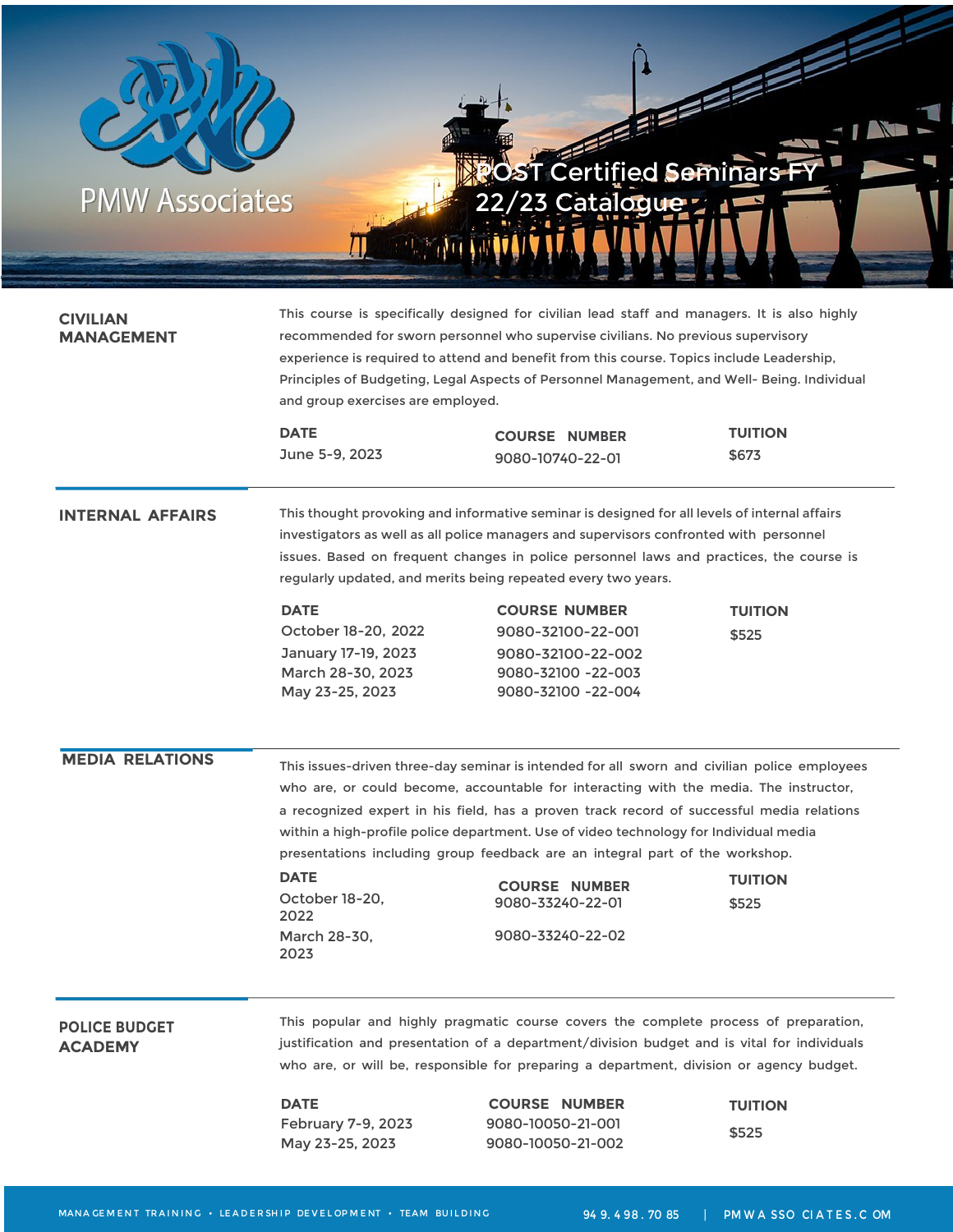

| <b>CIVILIAN</b><br>MANAGEMENT          | This course is specifically designed for civilian lead staff and managers. It is also highly<br>recommended for sworn personnel who supervise civilians. No previous supervisory<br>experience is required to attend and benefit from this course. Topics include Leadership,<br>Principles of Budgeting, Legal Aspects of Personnel Management, and Well- Being. Individual<br>and group exercises are employed.                   |                                                                                                                                                                                                                                                                                                                                                                                                                                                                                                                             |                         |  |
|----------------------------------------|-------------------------------------------------------------------------------------------------------------------------------------------------------------------------------------------------------------------------------------------------------------------------------------------------------------------------------------------------------------------------------------------------------------------------------------|-----------------------------------------------------------------------------------------------------------------------------------------------------------------------------------------------------------------------------------------------------------------------------------------------------------------------------------------------------------------------------------------------------------------------------------------------------------------------------------------------------------------------------|-------------------------|--|
|                                        | <b>DATE</b><br>June 5-9, 2023                                                                                                                                                                                                                                                                                                                                                                                                       | <b>COURSE NUMBER</b><br>9080-10740-22-01                                                                                                                                                                                                                                                                                                                                                                                                                                                                                    | <b>TUITION</b><br>\$673 |  |
| <b>INTERNAL AFFAIRS</b>                | This thought provoking and informative seminar is designed for all levels of internal affairs<br>investigators as well as all police managers and supervisors confronted with personnel<br>issues. Based on frequent changes in police personnel laws and practices, the course is<br>regularly updated, and merits being repeated every two years.                                                                                 |                                                                                                                                                                                                                                                                                                                                                                                                                                                                                                                             |                         |  |
|                                        | <b>DATE</b><br>October 18-20, 2022<br>January 17-19, 2023<br>March 28-30, 2023<br>May 23-25, 2023                                                                                                                                                                                                                                                                                                                                   | <b>COURSE NUMBER</b><br>9080-32100-22-001<br>9080-32100-22-002<br>9080-32100 -22-003<br>9080-32100 -22-004                                                                                                                                                                                                                                                                                                                                                                                                                  | <b>TUITION</b><br>\$525 |  |
| <b>MEDIA RELATIONS</b>                 | <b>DATE</b><br>October 18-20,<br>2022<br>March 28-30,<br>2023                                                                                                                                                                                                                                                                                                                                                                       | This issues-driven three-day seminar is intended for all sworn and civilian police employees<br>who are, or could become, accountable for interacting with the media. The instructor,<br>a recognized expert in his field, has a proven track record of successful media relations<br>within a high-profile police department. Use of video technology for Individual media<br>presentations including group feedback are an integral part of the workshop.<br><b>COURSE NUMBER</b><br>9080-33240-22-01<br>9080-33240-22-02 | <b>TUITION</b><br>\$525 |  |
| <b>POLICE BUDGET</b><br><b>ACADEMY</b> | This popular and highly pragmatic course covers the complete process of preparation,<br>justification and presentation of a department/division budget and is vital for individuals<br>who are, or will be, responsible for preparing a department, division or agency budget.<br><b>DATE</b><br><b>COURSE NUMBER</b><br><b>TUITION</b><br>February 7-9, 2023<br>9080-10050-21-001<br>\$525<br>9080-10050-21-002<br>May 23-25, 2023 |                                                                                                                                                                                                                                                                                                                                                                                                                                                                                                                             |                         |  |